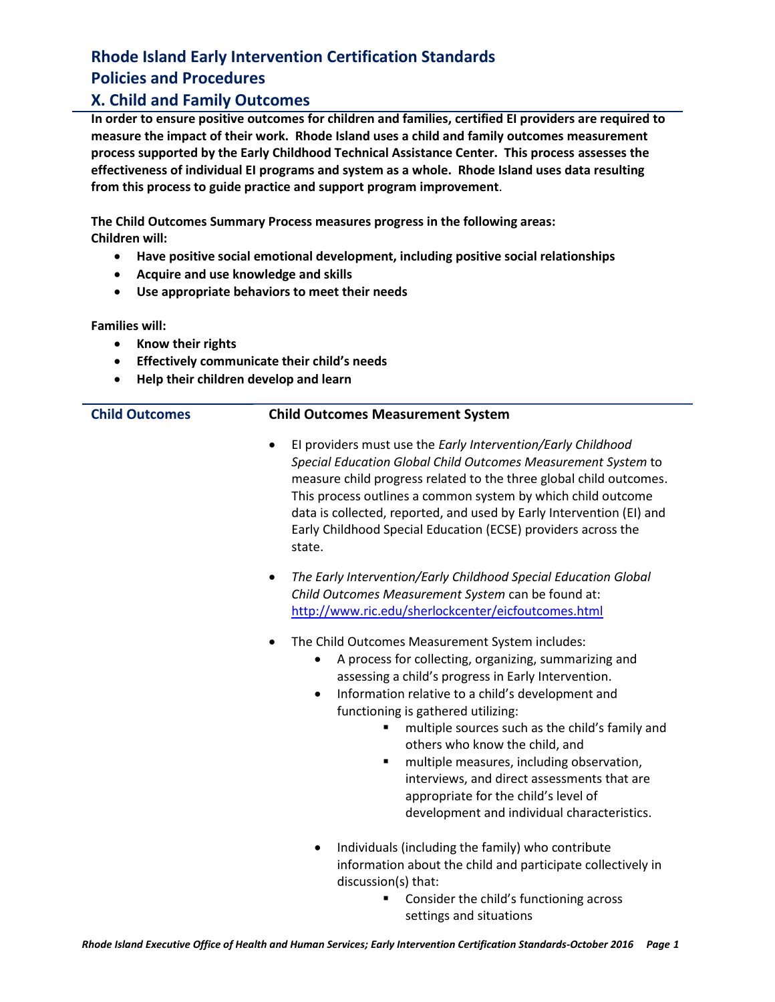#### **X. Child and Family Outcomes**

**In order to ensure positive outcomes for children and families, certified EI providers are required to measure the impact of their work. Rhode Island uses a child and family outcomes measurement process supported by the Early Childhood Technical Assistance Center. This process assesses the effectiveness of individual EI programs and system as a whole. Rhode Island uses data resulting from this process to guide practice and support program improvement**.

**The Child Outcomes Summary Process measures progress in the following areas: Children will:**

- **Have positive social emotional development, including positive social relationships**
- **Acquire and use knowledge and skills**
- **Use appropriate behaviors to meet their needs**

**Families will:**

- **Know their rights**
- **Effectively communicate their child's needs**
- **Help their children develop and learn**

#### **Child Outcomes Child Outcomes Measurement System**

- EI providers must use the *Early Intervention/Early Childhood Special Education Global Child Outcomes Measurement System* to measure child progress related to the three global child outcomes. This process outlines a common system by which child outcome data is collected, reported, and used by Early Intervention (EI) and Early Childhood Special Education (ECSE) providers across the state.
- *The Early Intervention/Early Childhood Special Education Global Child Outcomes Measurement System* can be found at: <http://www.ric.edu/sherlockcenter/eicfoutcomes.html>
- The Child Outcomes Measurement System includes:
	- A process for collecting, organizing, summarizing and assessing a child's progress in Early Intervention.
	- Information relative to a child's development and functioning is gathered utilizing:
		- **F** multiple sources such as the child's family and others who know the child, and
		- **narktarible measures, including observation,** interviews, and direct assessments that are appropriate for the child's level of development and individual characteristics.
	- Individuals (including the family) who contribute information about the child and participate collectively in discussion(s) that:
		- Consider the child's functioning across settings and situations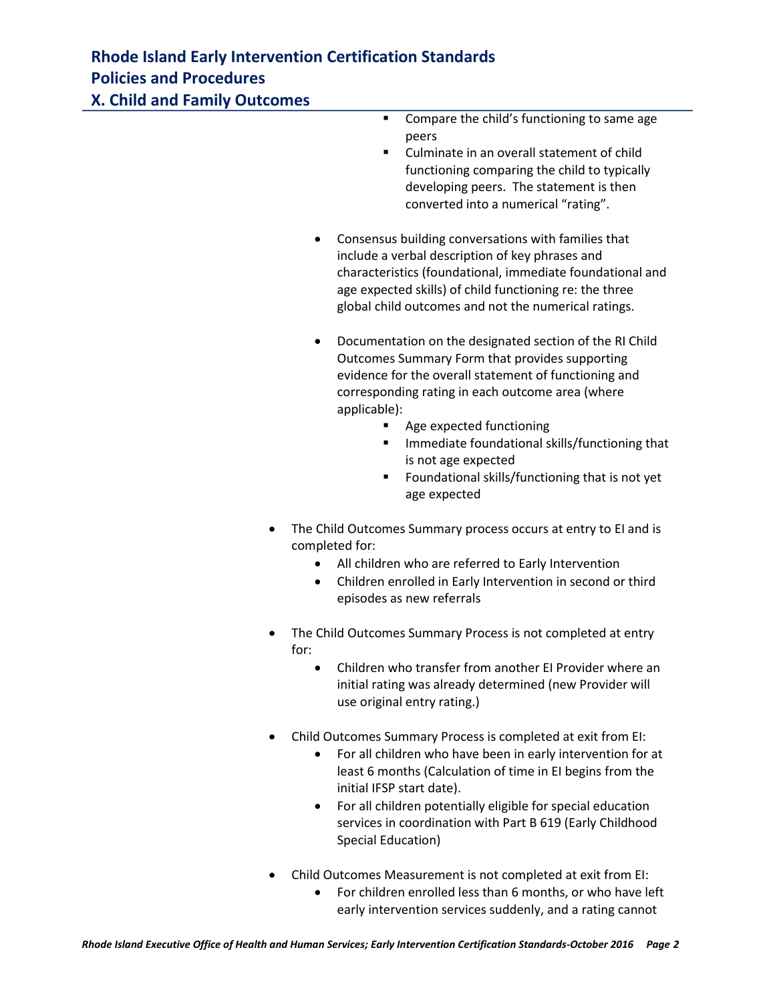**EXECOMPARE THE COMPARE COMPARE COMPARE COMPARE COMPARE COMPARE COMPARE COMPARE COMPARE COMPARE COMPARE COMPARE COMPARE COMPARE COMPARE COMPARE COMPARE COMPARE COMPARE COMPARE COMPARE COMPARE COMPARE COMPARE COMPARE COMPAR** peers

- **EXECULMINATE COMPOOE CONTROLLER** Culminate in an overall statement of child functioning comparing the child to typically developing peers. The statement is then converted into a numerical "rating".
- Consensus building conversations with families that include a verbal description of key phrases and characteristics (foundational, immediate foundational and age expected skills) of child functioning re: the three global child outcomes and not the numerical ratings.
- Documentation on the designated section of the RI Child Outcomes Summary Form that provides supporting evidence for the overall statement of functioning and corresponding rating in each outcome area (where applicable):
	- Age expected functioning
	- **IMMEDIATE:** Immediate foundational skills/functioning that is not age expected
	- Foundational skills/functioning that is not yet age expected
- The Child Outcomes Summary process occurs at entry to EI and is completed for:
	- All children who are referred to Early Intervention
	- Children enrolled in Early Intervention in second or third episodes as new referrals
- The Child Outcomes Summary Process is not completed at entry for:
	- Children who transfer from another EI Provider where an initial rating was already determined (new Provider will use original entry rating.)
- Child Outcomes Summary Process is completed at exit from EI:
	- For all children who have been in early intervention for at least 6 months (Calculation of time in EI begins from the initial IFSP start date).
	- For all children potentially eligible for special education services in coordination with Part B 619 (Early Childhood Special Education)
- Child Outcomes Measurement is not completed at exit from EI:
	- For children enrolled less than 6 months, or who have left early intervention services suddenly, and a rating cannot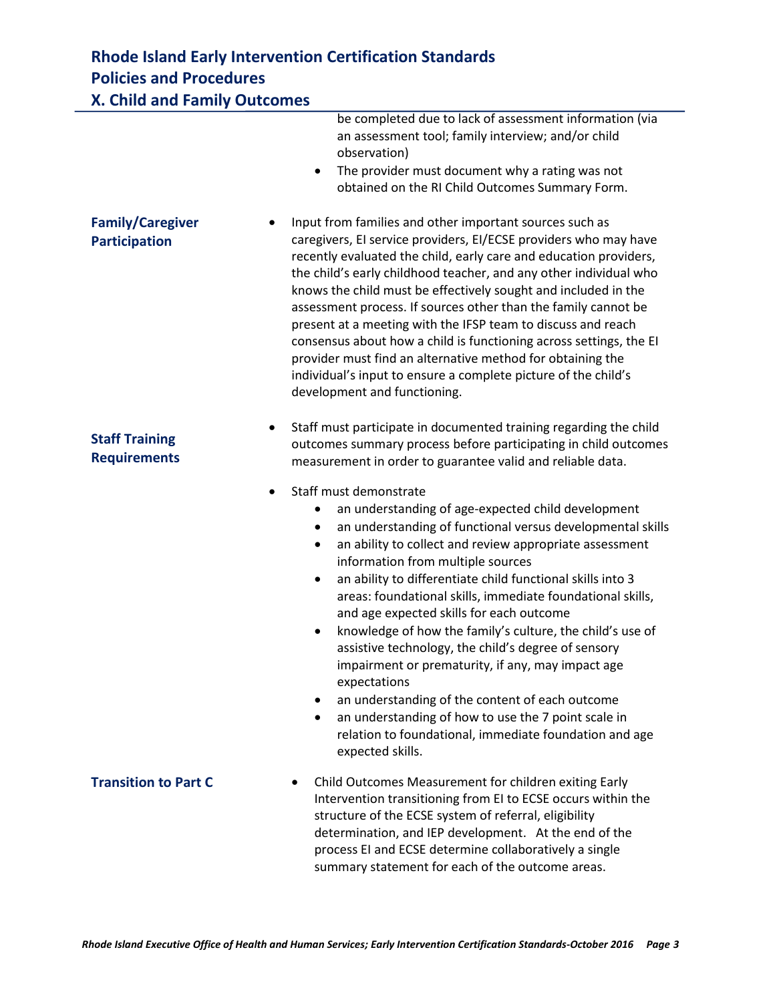| <b>X. Child and Family Outcomes</b>             |                                                                                                                                                                                                                                                                                                                                                                                                                                                                                                                                                                                                                                                                                                                                                                                                                                                                |  |
|-------------------------------------------------|----------------------------------------------------------------------------------------------------------------------------------------------------------------------------------------------------------------------------------------------------------------------------------------------------------------------------------------------------------------------------------------------------------------------------------------------------------------------------------------------------------------------------------------------------------------------------------------------------------------------------------------------------------------------------------------------------------------------------------------------------------------------------------------------------------------------------------------------------------------|--|
|                                                 | be completed due to lack of assessment information (via<br>an assessment tool; family interview; and/or child<br>observation)<br>The provider must document why a rating was not<br>٠<br>obtained on the RI Child Outcomes Summary Form.                                                                                                                                                                                                                                                                                                                                                                                                                                                                                                                                                                                                                       |  |
| <b>Family/Caregiver</b><br><b>Participation</b> | Input from families and other important sources such as<br>caregivers, El service providers, El/ECSE providers who may have<br>recently evaluated the child, early care and education providers,<br>the child's early childhood teacher, and any other individual who<br>knows the child must be effectively sought and included in the<br>assessment process. If sources other than the family cannot be<br>present at a meeting with the IFSP team to discuss and reach<br>consensus about how a child is functioning across settings, the EI<br>provider must find an alternative method for obtaining the<br>individual's input to ensure a complete picture of the child's<br>development and functioning.                                                                                                                                                |  |
| <b>Staff Training</b><br><b>Requirements</b>    | Staff must participate in documented training regarding the child<br>outcomes summary process before participating in child outcomes<br>measurement in order to guarantee valid and reliable data.                                                                                                                                                                                                                                                                                                                                                                                                                                                                                                                                                                                                                                                             |  |
|                                                 | Staff must demonstrate<br>an understanding of age-expected child development<br>$\bullet$<br>an understanding of functional versus developmental skills<br>٠<br>an ability to collect and review appropriate assessment<br>٠<br>information from multiple sources<br>an ability to differentiate child functional skills into 3<br>$\bullet$<br>areas: foundational skills, immediate foundational skills,<br>and age expected skills for each outcome<br>knowledge of how the family's culture, the child's use of<br>$\bullet$<br>assistive technology, the child's degree of sensory<br>impairment or prematurity, if any, may impact age<br>expectations<br>an understanding of the content of each outcome<br>٠<br>an understanding of how to use the 7 point scale in<br>٠<br>relation to foundational, immediate foundation and age<br>expected skills. |  |
| <b>Transition to Part C</b>                     | Child Outcomes Measurement for children exiting Early<br>Intervention transitioning from EI to ECSE occurs within the<br>structure of the ECSE system of referral, eligibility<br>determination, and IEP development. At the end of the<br>process EI and ECSE determine collaboratively a single<br>summary statement for each of the outcome areas.                                                                                                                                                                                                                                                                                                                                                                                                                                                                                                          |  |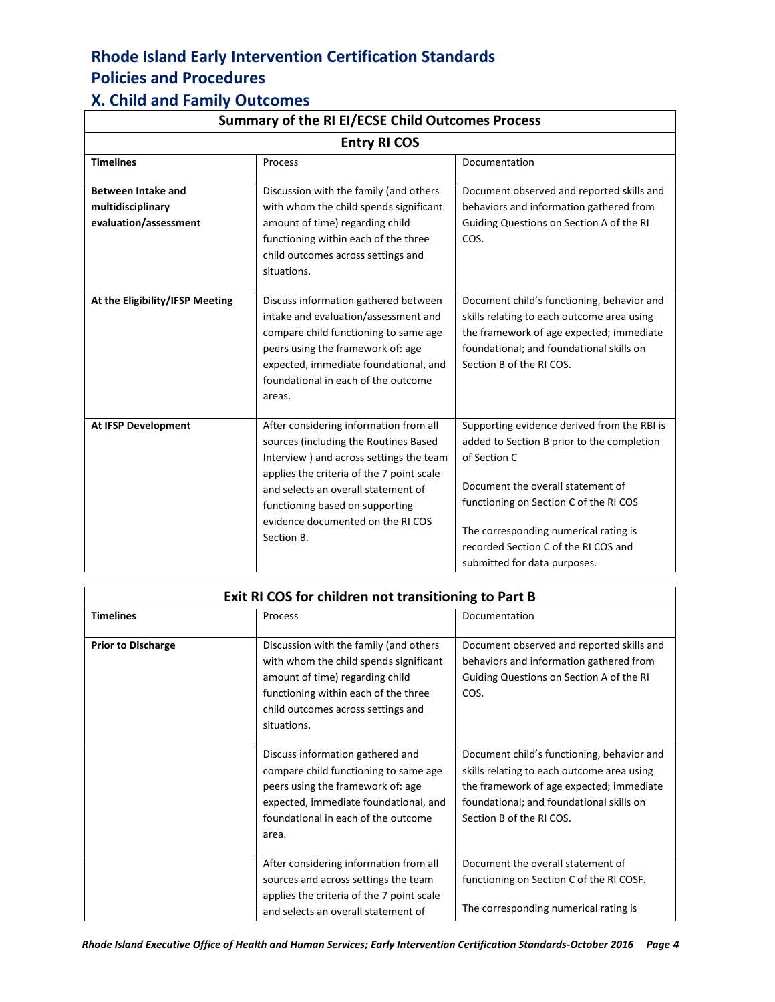#### **X. Child and Family Outcomes**

| Summary of the RI EI/ECSE Child Outcomes Process<br><b>Entry RI COS</b> |                                                                                                                                                                                                                                                                                                       |                                                                                                                                                                                                                                                                                                           |
|-------------------------------------------------------------------------|-------------------------------------------------------------------------------------------------------------------------------------------------------------------------------------------------------------------------------------------------------------------------------------------------------|-----------------------------------------------------------------------------------------------------------------------------------------------------------------------------------------------------------------------------------------------------------------------------------------------------------|
|                                                                         |                                                                                                                                                                                                                                                                                                       |                                                                                                                                                                                                                                                                                                           |
| <b>Between Intake and</b><br>multidisciplinary<br>evaluation/assessment | Discussion with the family (and others<br>with whom the child spends significant<br>amount of time) regarding child<br>functioning within each of the three<br>child outcomes across settings and<br>situations.                                                                                      | Document observed and reported skills and<br>behaviors and information gathered from<br>Guiding Questions on Section A of the RI<br>COS.                                                                                                                                                                  |
| At the Eligibility/IFSP Meeting                                         | Discuss information gathered between<br>intake and evaluation/assessment and<br>compare child functioning to same age<br>peers using the framework of: age<br>expected, immediate foundational, and<br>foundational in each of the outcome<br>areas.                                                  | Document child's functioning, behavior and<br>skills relating to each outcome area using<br>the framework of age expected; immediate<br>foundational; and foundational skills on<br>Section B of the RI COS.                                                                                              |
| <b>At IFSP Development</b>                                              | After considering information from all<br>sources (including the Routines Based<br>Interview ) and across settings the team<br>applies the criteria of the 7 point scale<br>and selects an overall statement of<br>functioning based on supporting<br>evidence documented on the RI COS<br>Section B. | Supporting evidence derived from the RBI is<br>added to Section B prior to the completion<br>of Section C<br>Document the overall statement of<br>functioning on Section C of the RI COS<br>The corresponding numerical rating is<br>recorded Section C of the RI COS and<br>submitted for data purposes. |

| Exit RI COS for children not transitioning to Part B |                                                                                                                                                                                                                  |                                                                                                                                                                                                              |
|------------------------------------------------------|------------------------------------------------------------------------------------------------------------------------------------------------------------------------------------------------------------------|--------------------------------------------------------------------------------------------------------------------------------------------------------------------------------------------------------------|
| <b>Timelines</b>                                     | Process                                                                                                                                                                                                          | Documentation                                                                                                                                                                                                |
| <b>Prior to Discharge</b>                            | Discussion with the family (and others<br>with whom the child spends significant<br>amount of time) regarding child<br>functioning within each of the three<br>child outcomes across settings and<br>situations. | Document observed and reported skills and<br>behaviors and information gathered from<br>Guiding Questions on Section A of the RI<br>COS.                                                                     |
|                                                      | Discuss information gathered and<br>compare child functioning to same age<br>peers using the framework of: age<br>expected, immediate foundational, and<br>foundational in each of the outcome<br>area.          | Document child's functioning, behavior and<br>skills relating to each outcome area using<br>the framework of age expected; immediate<br>foundational; and foundational skills on<br>Section B of the RI COS. |
|                                                      | After considering information from all<br>sources and across settings the team<br>applies the criteria of the 7 point scale<br>and selects an overall statement of                                               | Document the overall statement of<br>functioning on Section C of the RI COSF.<br>The corresponding numerical rating is                                                                                       |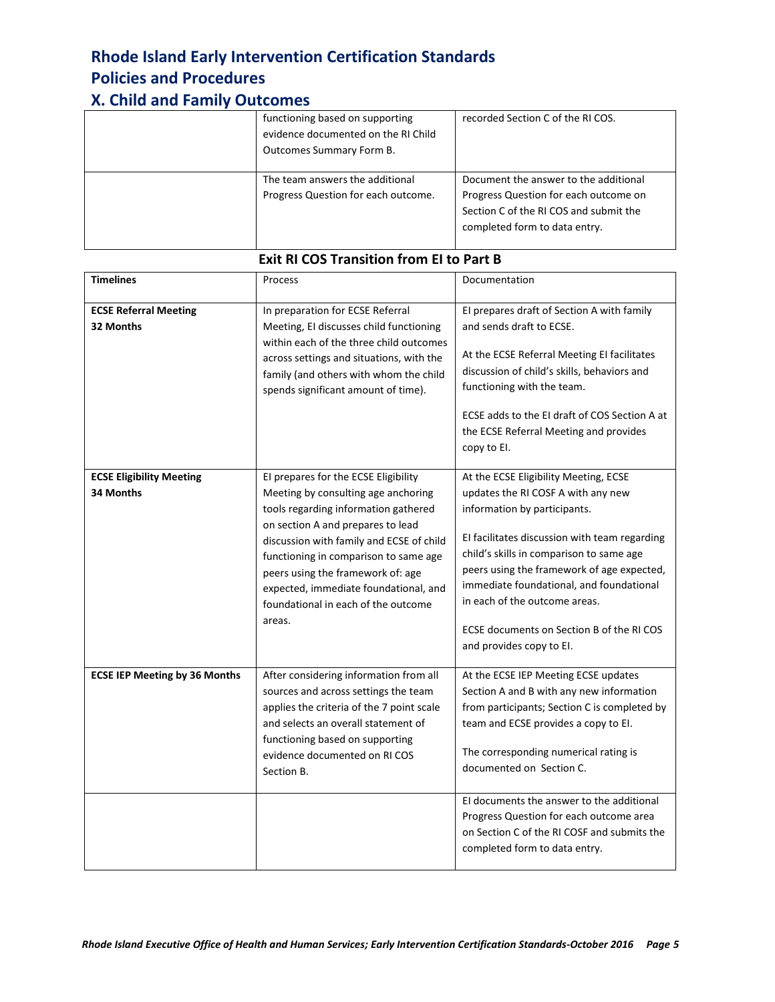#### **X. Child and Family Outcomes**

| functioning based on supporting<br>evidence documented on the RI Child<br>Outcomes Summary Form B. | recorded Section C of the RI COS.                                                                                                                         |
|----------------------------------------------------------------------------------------------------|-----------------------------------------------------------------------------------------------------------------------------------------------------------|
| The team answers the additional<br>Progress Question for each outcome.                             | Document the answer to the additional<br>Progress Question for each outcome on<br>Section C of the RI COS and submit the<br>completed form to data entry. |

| <b>Timelines</b>                             | Process                                                                                                                                                                                                                                                                                                                                                                      | Documentation                                                                                                                                                                                                                                                                                                                                                                                                |
|----------------------------------------------|------------------------------------------------------------------------------------------------------------------------------------------------------------------------------------------------------------------------------------------------------------------------------------------------------------------------------------------------------------------------------|--------------------------------------------------------------------------------------------------------------------------------------------------------------------------------------------------------------------------------------------------------------------------------------------------------------------------------------------------------------------------------------------------------------|
| <b>ECSE Referral Meeting</b><br>32 Months    | In preparation for ECSE Referral<br>Meeting, EI discusses child functioning<br>within each of the three child outcomes<br>across settings and situations, with the<br>family (and others with whom the child<br>spends significant amount of time).                                                                                                                          | El prepares draft of Section A with family<br>and sends draft to ECSE.<br>At the ECSE Referral Meeting EI facilitates<br>discussion of child's skills, behaviors and<br>functioning with the team.<br>ECSE adds to the EI draft of COS Section A at<br>the ECSE Referral Meeting and provides<br>copy to El.                                                                                                 |
| <b>ECSE Eligibility Meeting</b><br>34 Months | El prepares for the ECSE Eligibility<br>Meeting by consulting age anchoring<br>tools regarding information gathered<br>on section A and prepares to lead<br>discussion with family and ECSE of child<br>functioning in comparison to same age<br>peers using the framework of: age<br>expected, immediate foundational, and<br>foundational in each of the outcome<br>areas. | At the ECSE Eligibility Meeting, ECSE<br>updates the RI COSF A with any new<br>information by participants.<br>El facilitates discussion with team regarding<br>child's skills in comparison to same age<br>peers using the framework of age expected,<br>immediate foundational, and foundational<br>in each of the outcome areas.<br>ECSE documents on Section B of the RI COS<br>and provides copy to El. |
| <b>ECSE IEP Meeting by 36 Months</b>         | After considering information from all<br>sources and across settings the team<br>applies the criteria of the 7 point scale<br>and selects an overall statement of<br>functioning based on supporting<br>evidence documented on RI COS<br>Section B.                                                                                                                         | At the ECSE IEP Meeting ECSE updates<br>Section A and B with any new information<br>from participants; Section C is completed by<br>team and ECSE provides a copy to EI.<br>The corresponding numerical rating is<br>documented on Section C.                                                                                                                                                                |
|                                              |                                                                                                                                                                                                                                                                                                                                                                              | El documents the answer to the additional<br>Progress Question for each outcome area<br>on Section C of the RI COSF and submits the<br>completed form to data entry.                                                                                                                                                                                                                                         |

#### **Exit RI COS Transition from EI to Part B**